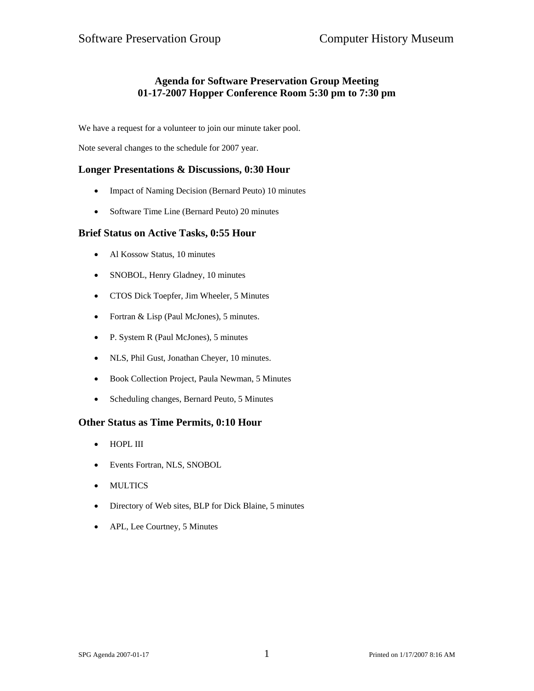# **Agenda for Software Preservation Group Meeting 01-17-2007 Hopper Conference Room 5:30 pm to 7:30 pm**

We have a request for a volunteer to join our minute taker pool.

Note several changes to the schedule for 2007 year.

## **Longer Presentations & Discussions, 0:30 Hour**

- Impact of Naming Decision (Bernard Peuto) 10 minutes
- Software Time Line (Bernard Peuto) 20 minutes

#### **Brief Status on Active Tasks, 0:55 Hour**

- Al Kossow Status, 10 minutes
- SNOBOL, Henry Gladney, 10 minutes
- CTOS Dick Toepfer, Jim Wheeler, 5 Minutes
- Fortran & Lisp (Paul McJones), 5 minutes.
- P. System R (Paul McJones), 5 minutes
- NLS, Phil Gust, Jonathan Cheyer, 10 minutes.
- Book Collection Project, Paula Newman, 5 Minutes
- Scheduling changes, Bernard Peuto, 5 Minutes

## **Other Status as Time Permits, 0:10 Hour**

- HOPL III
- Events Fortran, NLS, SNOBOL
- MULTICS
- Directory of Web sites, BLP for Dick Blaine, 5 minutes
- APL, Lee Courtney, 5 Minutes